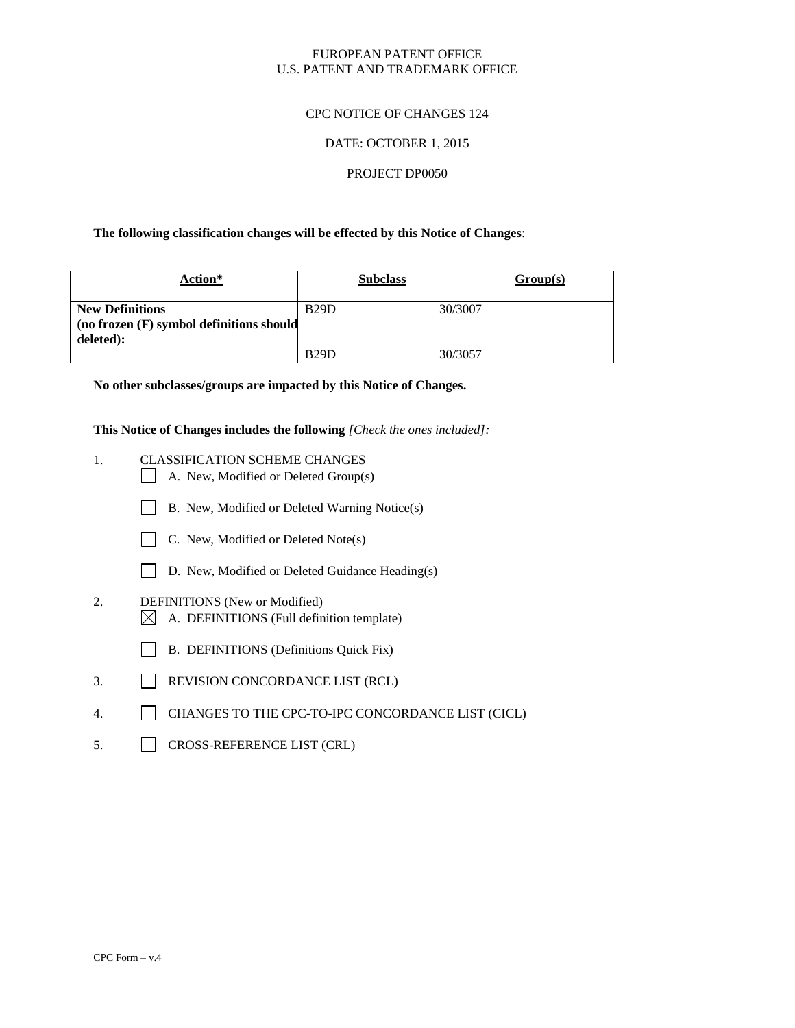### EUROPEAN PATENT OFFICE U.S. PATENT AND TRADEMARK OFFICE

### CPC NOTICE OF CHANGES 124

### DATE: OCTOBER 1, 2015

#### PROJECT DP0050

### **The following classification changes will be effected by this Notice of Changes**:

| <b>Action*</b>                                                                  | <b>Subclass</b> | Group(s) |
|---------------------------------------------------------------------------------|-----------------|----------|
| <b>New Definitions</b><br>(no frozen (F) symbol definitions should<br>deleted): | <b>B29D</b>     | 30/3007  |
|                                                                                 | <b>B29D</b>     | 30/3057  |

**No other subclasses/groups are impacted by this Notice of Changes.**

**This Notice of Changes includes the following** *[Check the ones included]:*

- 1. CLASSIFICATION SCHEME CHANGES
	- A. New, Modified or Deleted Group(s)
	- B. New, Modified or Deleted Warning Notice(s)



- C. New, Modified or Deleted Note(s)
- D. New, Modified or Deleted Guidance Heading(s)
- 2. DEFINITIONS (New or Modified)
	- $\boxtimes$  A. DEFINITIONS (Full definition template)
	- B. DEFINITIONS (Definitions Quick Fix)
- 3. REVISION CONCORDANCE LIST (RCL)
- 4. CHANGES TO THE CPC-TO-IPC CONCORDANCE LIST (CICL)
- 5. CROSS-REFERENCE LIST (CRL)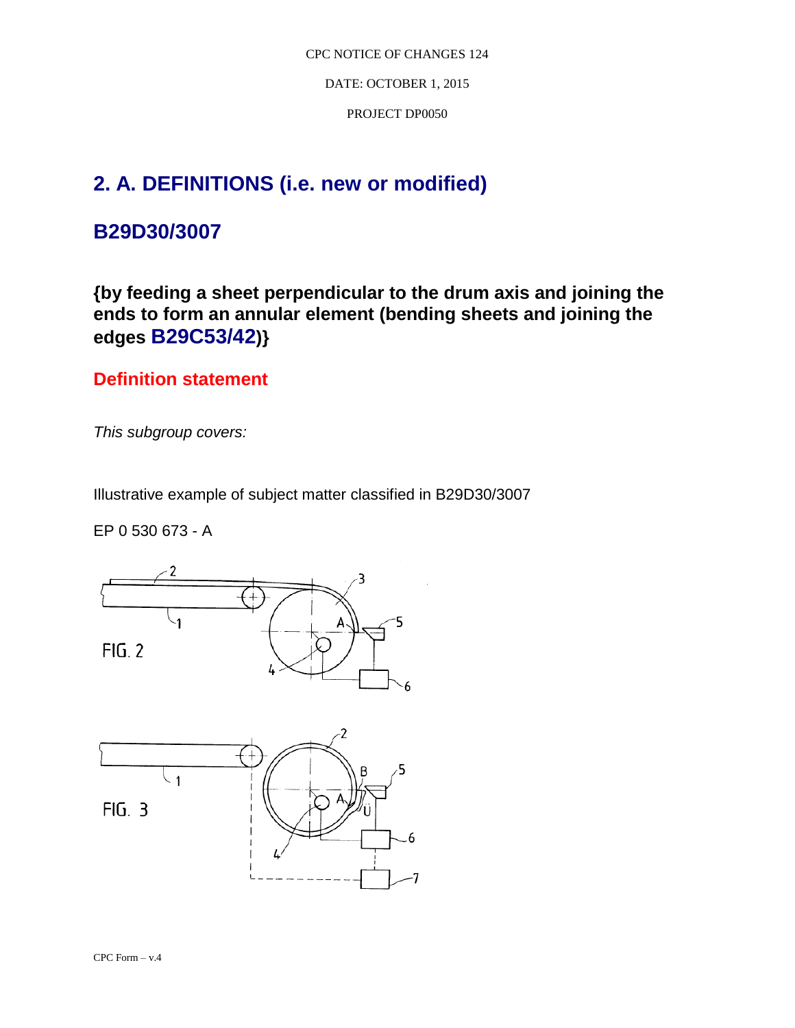DATE: OCTOBER 1, 2015

PROJECT DP0050

# **2. A. DEFINITIONS (i.e. new or modified)**

## **B29D30/3007**

**{by feeding a sheet perpendicular to the drum axis and joining the ends to form an annular element (bending sheets and joining the edges B29C53/42)}**

### **Definition statement**

*This subgroup covers:*

Illustrative example of subject matter classified in B29D30/3007

EP 0 530 673 - A